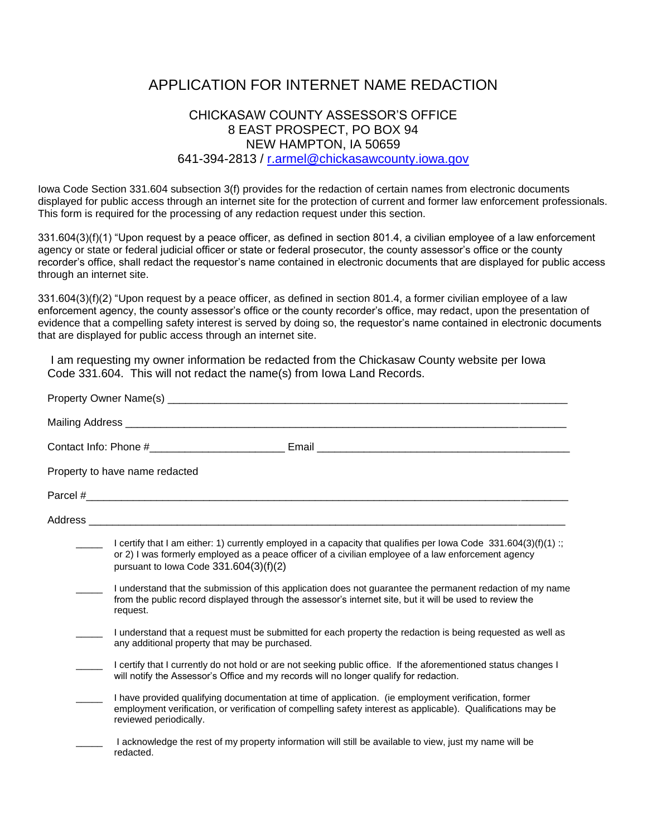## APPLICATION FOR INTERNET NAME REDACTION

## CHICKASAW COUNTY ASSESSOR'S OFFICE 8 EAST PROSPECT, PO BOX 94 NEW HAMPTON, IA 50659 641-394-2813 / [r.armel@chickasawcounty.iowa.gov](mailto:r.armel@chickasawcounty.iowa.gov)

Iowa Code Section 331.604 subsection 3(f) provides for the redaction of certain names from electronic documents displayed for public access through an internet site for the protection of current and former law enforcement professionals. This form is required for the processing of any redaction request under this section.

331.604(3)(f)(1) "Upon request by a peace officer, as defined in section 801.4, a civilian employee of a law enforcement agency or state or federal judicial officer or state or federal prosecutor, the county assessor's office or the county recorder's office, shall redact the requestor's name contained in electronic documents that are displayed for public access through an internet site.

331.604(3)(f)(2) "Upon request by a peace officer, as defined in section 801.4, a former civilian employee of a law enforcement agency, the county assessor's office or the county recorder's office, may redact, upon the presentation of evidence that a compelling safety interest is served by doing so, the requestor's name contained in electronic documents that are displayed for public access through an internet site.

I am requesting my owner information be redacted from the Chickasaw County website per Iowa Code 331.604. This will not redact the name(s) from Iowa Land Records.

| Property Owner Name(s) _<br>Contact Info: Phone #__________________________Email ____________________________ |                                                                                                                                                                                                                                                                      |  |                                |
|---------------------------------------------------------------------------------------------------------------|----------------------------------------------------------------------------------------------------------------------------------------------------------------------------------------------------------------------------------------------------------------------|--|--------------------------------|
|                                                                                                               |                                                                                                                                                                                                                                                                      |  | Property to have name redacted |
|                                                                                                               |                                                                                                                                                                                                                                                                      |  |                                |
|                                                                                                               |                                                                                                                                                                                                                                                                      |  |                                |
|                                                                                                               | I certify that I am either: 1) currently employed in a capacity that qualifies per lowa Code $331.604(3)(f)(1)$ ;<br>or 2) I was formerly employed as a peace officer of a civilian employee of a law enforcement agency<br>pursuant to Iowa Code $331.604(3)(f)(2)$ |  |                                |
|                                                                                                               | I understand that the submission of this application does not guarantee the permanent redaction of my name<br>from the public record displayed through the assessor's internet site, but it will be used to review the<br>request.                                   |  |                                |
|                                                                                                               | I understand that a request must be submitted for each property the redaction is being requested as well as<br>any additional property that may be purchased.                                                                                                        |  |                                |
|                                                                                                               | I certify that I currently do not hold or are not seeking public office. If the aforementioned status changes I<br>will notify the Assessor's Office and my records will no longer qualify for redaction.                                                            |  |                                |
|                                                                                                               | I have provided qualifying documentation at time of application. (ie employment verification, former<br>employment verification, or verification of compelling safety interest as applicable). Qualifications may be<br>reviewed periodically.                       |  |                                |
|                                                                                                               | I acknowledge the rest of my property information will still be available to view, just my name will be<br>redacted.                                                                                                                                                 |  |                                |